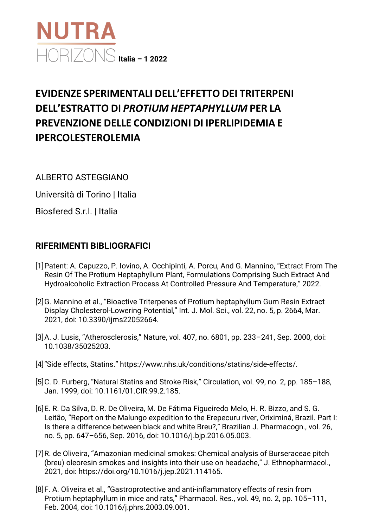

## **EVIDENZE SPERIMENTALI DELL'EFFETTO DEI TRITERPENI DELL'ESTRATTO DI** *PROTIUM HEPTAPHYLLUM* **PER LA PREVENZIONE DELLE CONDIZIONI DI IPERLIPIDEMIA E IPERCOLESTEROLEMIA**

ALBERTO ASTEGGIANO

Università di Torino | Italia

Biosfered S.r.l. | Italia

## **RIFERIMENTI BIBLIOGRAFICI**

- [1]Patent: A. Capuzzo, P. Iovino, A. Occhipinti, A. Porcu, And G. Mannino, "Extract From The Resin Of The Protium Heptaphyllum Plant, Formulations Comprising Such Extract And Hydroalcoholic Extraction Process At Controlled Pressure And Temperature," 2022.
- [2]G. Mannino et al., "Bioactive Triterpenes of Protium heptaphyllum Gum Resin Extract Display Cholesterol-Lowering Potential," Int. J. Mol. Sci., vol. 22, no. 5, p. 2664, Mar. 2021, doi: 10.3390/ijms22052664.
- [3]A. J. Lusis, "Atherosclerosis," Nature, vol. 407, no. 6801, pp. 233–241, Sep. 2000, doi: 10.1038/35025203.
- [4]"Side effects, Statins." https://www.nhs.uk/conditions/statins/side-effects/.
- [5]C. D. Furberg, "Natural Statins and Stroke Risk," Circulation, vol. 99, no. 2, pp. 185–188, Jan. 1999, doi: 10.1161/01.CIR.99.2.185.
- [6]E. R. Da Silva, D. R. De Oliveira, M. De Fátima Figueiredo Melo, H. R. Bizzo, and S. G. Leitão, "Report on the Malungo expedition to the Erepecuru river, Oriximiná, Brazil. Part I: Is there a difference between black and white Breu?," Brazilian J. Pharmacogn., vol. 26, no. 5, pp. 647–656, Sep. 2016, doi: 10.1016/j.bjp.2016.05.003.
- [7]R. de Oliveira, "Amazonian medicinal smokes: Chemical analysis of Burseraceae pitch (breu) oleoresin smokes and insights into their use on headache," J. Ethnopharmacol., 2021, doi: https://doi.org/10.1016/j.jep.2021.114165.
- [8]F. A. Oliveira et al., "Gastroprotective and anti-inflammatory effects of resin from Protium heptaphyllum in mice and rats," Pharmacol. Res., vol. 49, no. 2, pp. 105–111, Feb. 2004, doi: 10.1016/j.phrs.2003.09.001.